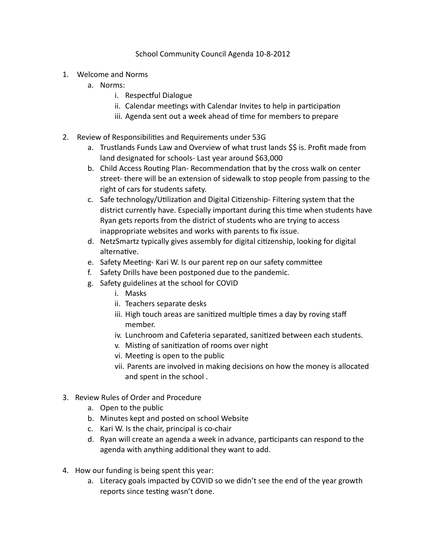## School Community Council Agenda 10-8-2012

- 1. Welcome and Norms
	- a. Norms:
		- i. Respectful Dialogue
		- ii. Calendar meetings with Calendar Invites to help in participation
		- iii. Agenda sent out a week ahead of time for members to prepare
- 2. Review of Responsibilities and Requirements under 53G
	- a. Trustlands Funds Law and Overview of what trust lands \$\$ is. Profit made from land designated for schools- Last year around \$63,000
	- b. Child Access Routing Plan- Recommendation that by the cross walk on center street- there will be an extension of sidewalk to stop people from passing to the right of cars for students safety.
	- c. Safe technology/Utilization and Digital Citizenship- Filtering system that the district currently have. Especially important during this time when students have Ryan gets reports from the district of students who are trying to access inappropriate websites and works with parents to fix issue.
	- d. NetzSmartz typically gives assembly for digital citizenship, looking for digital alternative.
	- e. Safety Meeting- Kari W. Is our parent rep on our safety committee
	- f. Safety Drills have been postponed due to the pandemic.
	- g. Safety guidelines at the school for COVID
		- i. Masks
		- ii. Teachers separate desks
		- iii. High touch areas are sanitized multiple times a day by roving staff member.
		- iv. Lunchroom and Cafeteria separated, sanitized between each students.
		- v. Misting of sanitization of rooms over night
		- vi. Meeting is open to the public
		- vii. Parents are involved in making decisions on how the money is allocated and spent in the school .
- 3. Review Rules of Order and Procedure
	- a. Open to the public
	- b. Minutes kept and posted on school Website
	- c. Kari W. Is the chair, principal is co-chair
	- d. Ryan will create an agenda a week in advance, participants can respond to the agenda with anything additional they want to add.
- 4. How our funding is being spent this year:
	- a. Literacy goals impacted by COVID so we didn't see the end of the year growth reports since testing wasn't done.